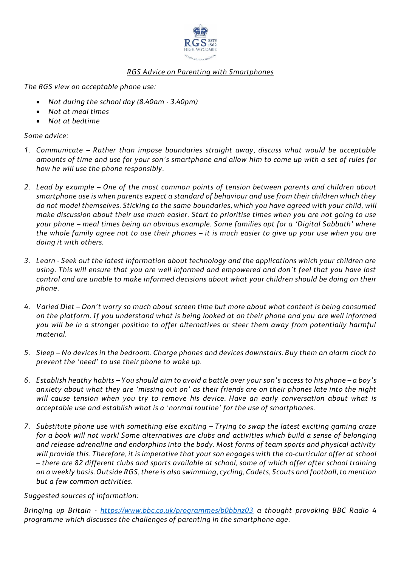

## *RGS Advice on Parenting with Smartphones*

*The RGS view on acceptable phone use:*

- *Not during the school day (8.40am - 3.40pm)*
- *Not at meal times*
- *Not at bedtime*

## *Some advice:*

- *1. Communicate – Rather than impose boundaries straight away, discuss what would be acceptable amounts of time and use for your son's smartphone and allow him to come up with a set of rules for how he will use the phone responsibly.*
- *2. Lead by example – One of the most common points of tension between parents and children about smartphone use is when parents expect a standard of behaviour and use from their children which they do not model themselves. Sticking to the same boundaries, which you have agreed with your child, will make discussion about their use much easier. Start to prioritise times when you are not going to use your phone – meal times being an obvious example. Some families opt for a 'Digital Sabbath' where the whole family agree not to use their phones – it is much easier to give up your use when you are doing it with others.*
- *3. Learn - Seek out the latest information about technology and the applications which your children are using. This will ensure that you are well informed and empowered and don't feel that you have lost control and are unable to make informed decisions about what your children should be doing on their phone.*
- *4. Varied Diet – Don't worry so much about screen time but more about what content is being consumed on the platform. If you understand what is being looked at on their phone and you are well informed you will be in a stronger position to offer alternatives or steer them away from potentially harmful material.*
- *5. Sleep – No devices in the bedroom. Charge phones and devices downstairs. Buy them an alarm clock to prevent the 'need' to use their phone to wake up.*
- *6. Establish heathy habits – You should aim to avoid a battle over your son's access to his phone – a boy's anxiety about what they are 'missing out on' as their friends are on their phones late into the night will cause tension when you try to remove his device. Have an early conversation about what is acceptable use and establish what is a 'normal routine' for the use of smartphones.*
- *7. Substitute phone use with something else exciting – Trying to swap the latest exciting gaming craze for a book will not work! Some alternatives are clubs and activities which build a sense of belonging and release adrenaline and endorphins into the body. Most forms of team sports and physical activity will provide this. Therefore, it is imperative that your son engages with the co-curricular offer at school – there are 82 different clubs and sports available at school, some of which offer after school training on a weekly basis. Outside RGS, there is also swimming, cycling, Cadets, Scouts and football, to mention but a few common activities.*

## *Suggested sources of information:*

*Bringing up Britain - <https://www.bbc.co.uk/programmes/b0bbnz03> a thought provoking BBC Radio 4 programme which discusses the challenges of parenting in the smartphone age.*